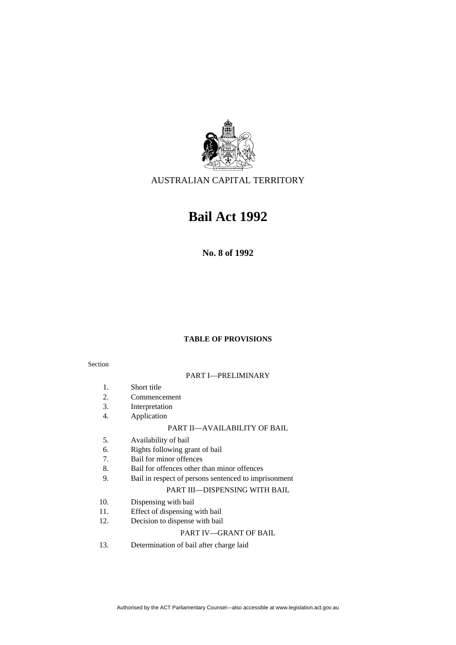

AUSTRALIAN CAPITAL TERRITORY

# **Bail Act 1992**

**No. 8 of 1992** 

# **TABLE OF PROVISIONS**

# Section

# PART I—PRELIMINARY

- 1. Short title
- 2. Commencement
- 3. Interpretation
- 4. Application

### PART II—AVAILABILITY OF BAIL

- 5. Availability of bail
- 6. Rights following grant of bail
- 7. Bail for minor offences
- 8. Bail for offences other than minor offences<br>9. Bail in respect of persons sentenced to impr
- Bail in respect of persons sentenced to imprisonment

#### PART III—DISPENSING WITH BAIL

- 10. Dispensing with bail
- 11. Effect of dispensing with bail
- 12. Decision to dispense with bail

# PART IV—GRANT OF BAIL

13. Determination of bail after charge laid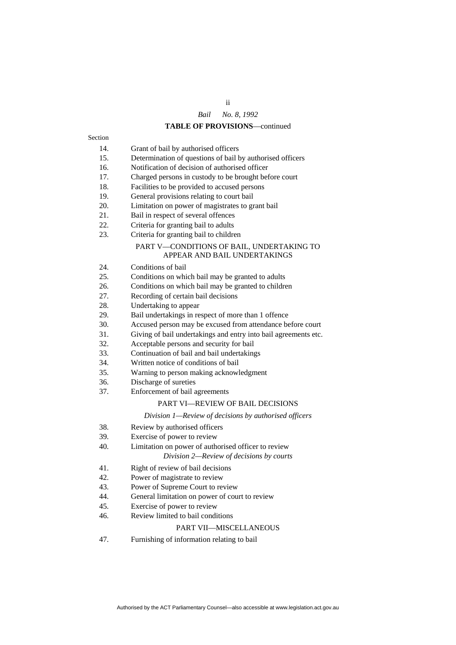# ii *Bail No. 8, 1992*

#### **TABLE OF PROVISIONS**—continued

- Section
	- 14. Grant of bail by authorised officers
	- 15. Determination of questions of bail by authorised officers
	- 16. Notification of decision of authorised officer
	- 17. Charged persons in custody to be brought before court
	- 18. Facilities to be provided to accused persons
	- 19. General provisions relating to court bail
	- 20. Limitation on power of magistrates to grant bail
	- 21. Bail in respect of several offences
	- 22. Criteria for granting bail to adults
	- 23. Criteria for granting bail to children

# PART V—CONDITIONS OF BAIL, UNDERTAKING TO APPEAR AND BAIL UNDERTAKINGS

- 24. Conditions of bail
- 25. Conditions on which bail may be granted to adults
- 26. Conditions on which bail may be granted to children
- 27. Recording of certain bail decisions
- 28. Undertaking to appear
- 29. Bail undertakings in respect of more than 1 offence
- 30. Accused person may be excused from attendance before court
- 31. Giving of bail undertakings and entry into bail agreements etc.
- 32. Acceptable persons and security for bail
- 33. Continuation of bail and bail undertakings
- 34. Written notice of conditions of bail
- 35. Warning to person making acknowledgment
- 36. Discharge of sureties
- 37. Enforcement of bail agreements

#### PART VI—REVIEW OF BAIL DECISIONS

#### *Division 1—Review of decisions by authorised officers*

- 38. Review by authorised officers
- 39. Exercise of power to review
- 40. Limitation on power of authorised officer to review

# *Division 2—Review of decisions by courts*

- 41. Right of review of bail decisions
- 42. Power of magistrate to review
- 43. Power of Supreme Court to review
- 44. General limitation on power of court to review
- 45. Exercise of power to review
- 46. Review limited to bail conditions

#### PART VII—MISCELLANEOUS

47. Furnishing of information relating to bail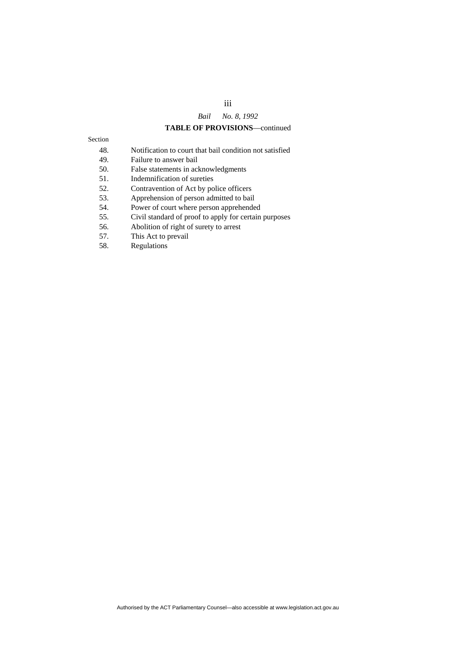# iii *Bail No. 8, 1992*

#### **TABLE OF PROVISIONS**—continued

| °CHOL |  |
|-------|--|
|       |  |

- 48. Notification to court that bail condition not satisfied
- 49. Failure to answer bail
- 50. False statements in acknowledgments
- 51. Indemnification of sureties
- 52. Contravention of Act by police officers
- 53. Apprehension of person admitted to bail
- 54. Power of court where person apprehended
- 55. Civil standard of proof to apply for certain purposes
- 56. Abolition of right of surety to arrest
- 57. This Act to prevail
- 58. Regulations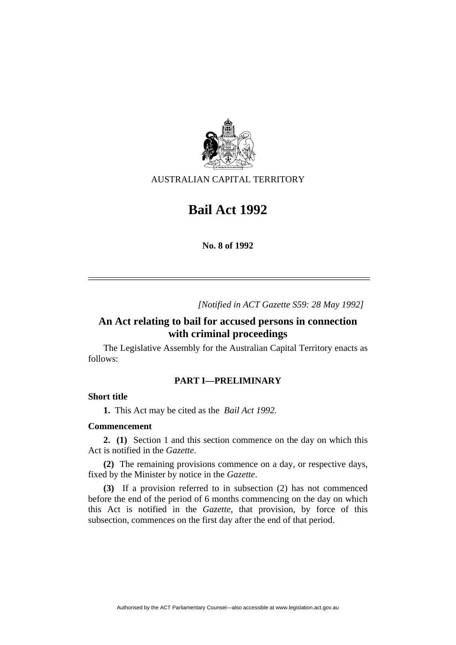

AUSTRALIAN CAPITAL TERRITORY

# **Bail Act 1992**

**No. 8 of 1992** 

*[Notified in ACT Gazette S59: 28 May 1992]*

# **An Act relating to bail for accused persons in connection with criminal proceedings**

 The Legislative Assembly for the Australian Capital Territory enacts as follows:

# **PART I—PRELIMINARY**

# **Short title**

**1.** This Act may be cited as the *Bail Act 1992.*

# **Commencement**

**2. (1)** Section 1 and this section commence on the day on which this Act is notified in the *Gazette*.

**(2)** The remaining provisions commence on a day, or respective days, fixed by the Minister by notice in the *Gazette*.

**(3)** If a provision referred to in subsection (2) has not commenced before the end of the period of 6 months commencing on the day on which this Act is notified in the *Gazette*, that provision, by force of this subsection, commences on the first day after the end of that period.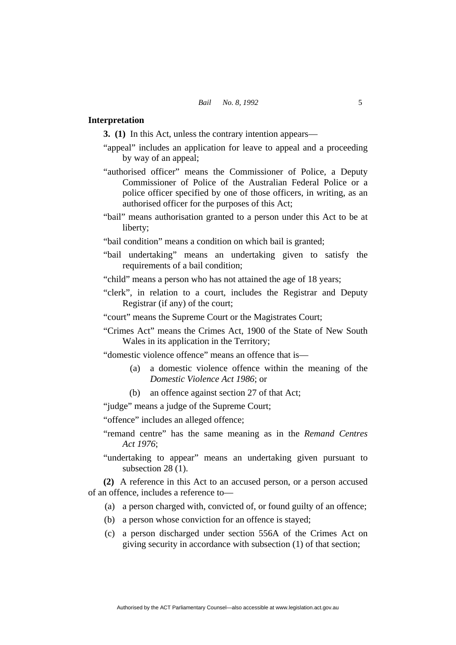# **Interpretation**

**3. (1)** In this Act, unless the contrary intention appears—

- "appeal" includes an application for leave to appeal and a proceeding by way of an appeal;
- "authorised officer" means the Commissioner of Police, a Deputy Commissioner of Police of the Australian Federal Police or a police officer specified by one of those officers, in writing, as an authorised officer for the purposes of this Act;
- "bail" means authorisation granted to a person under this Act to be at liberty;
- "bail condition" means a condition on which bail is granted;
- "bail undertaking" means an undertaking given to satisfy the requirements of a bail condition;
- "child" means a person who has not attained the age of 18 years;
- "clerk", in relation to a court, includes the Registrar and Deputy Registrar (if any) of the court;

"court" means the Supreme Court or the Magistrates Court;

"Crimes Act" means the Crimes Act, 1900 of the State of New South Wales in its application in the Territory;

"domestic violence offence" means an offence that is—

- (a) a domestic violence offence within the meaning of the *Domestic Violence Act 1986*; or
- (b) an offence against section 27 of that Act;

"judge" means a judge of the Supreme Court;

"offence" includes an alleged offence;

- "remand centre" has the same meaning as in the *Remand Centres Act 1976*;
- "undertaking to appear" means an undertaking given pursuant to subsection 28 (1).

**(2)** A reference in this Act to an accused person, or a person accused of an offence, includes a reference to—

- (a) a person charged with, convicted of, or found guilty of an offence;
- (b) a person whose conviction for an offence is stayed;
- (c) a person discharged under section 556A of the Crimes Act on giving security in accordance with subsection (1) of that section;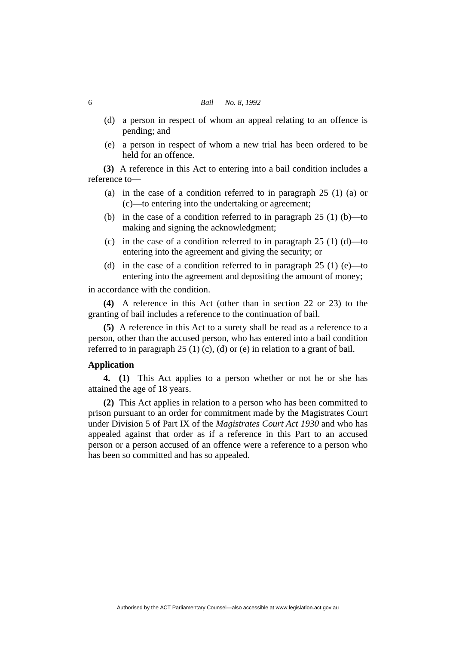#### 6 *Bail No. 8, 1992*

- (d) a person in respect of whom an appeal relating to an offence is pending; and
- (e) a person in respect of whom a new trial has been ordered to be held for an offence.

**(3)** A reference in this Act to entering into a bail condition includes a reference to—

- (a) in the case of a condition referred to in paragraph 25 (1) (a) or (c)—to entering into the undertaking or agreement;
- (b) in the case of a condition referred to in paragraph 25 (1) (b)—to making and signing the acknowledgment;
- (c) in the case of a condition referred to in paragraph  $25(1)(d)$ —to entering into the agreement and giving the security; or
- (d) in the case of a condition referred to in paragraph  $25(1)$  (e)—to entering into the agreement and depositing the amount of money;

in accordance with the condition.

**(4)** A reference in this Act (other than in section 22 or 23) to the granting of bail includes a reference to the continuation of bail.

**(5)** A reference in this Act to a surety shall be read as a reference to a person, other than the accused person, who has entered into a bail condition referred to in paragraph 25 (1) (c), (d) or (e) in relation to a grant of bail.

# **Application**

**4. (1)** This Act applies to a person whether or not he or she has attained the age of 18 years.

**(2)** This Act applies in relation to a person who has been committed to prison pursuant to an order for commitment made by the Magistrates Court under Division 5 of Part IX of the *Magistrates Court Act 1930* and who has appealed against that order as if a reference in this Part to an accused person or a person accused of an offence were a reference to a person who has been so committed and has so appealed.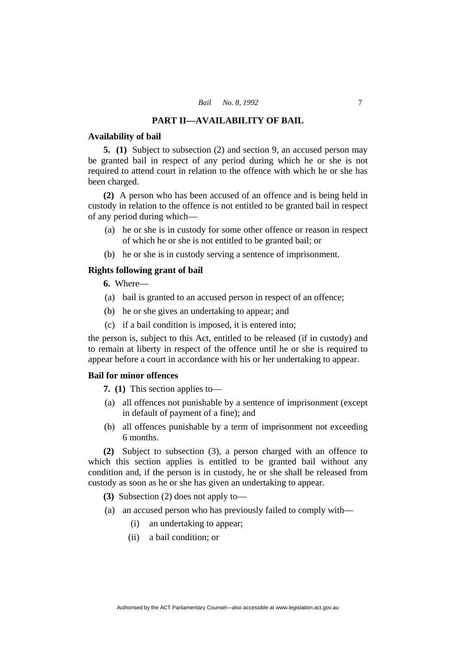# **PART II—AVAILABILITY OF BAIL**

#### **Availability of bail**

**5. (1)** Subject to subsection (2) and section 9, an accused person may be granted bail in respect of any period during which he or she is not required to attend court in relation to the offence with which he or she has been charged.

**(2)** A person who has been accused of an offence and is being held in custody in relation to the offence is not entitled to be granted bail in respect of any period during which—

- (a) he or she is in custody for some other offence or reason in respect of which he or she is not entitled to be granted bail; or
- (b) he or she is in custody serving a sentence of imprisonment.

# **Rights following grant of bail**

**6.** Where—

- (a) bail is granted to an accused person in respect of an offence;
- (b) he or she gives an undertaking to appear; and
- (c) if a bail condition is imposed, it is entered into;

the person is, subject to this Act, entitled to be released (if in custody) and to remain at liberty in respect of the offence until he or she is required to appear before a court in accordance with his or her undertaking to appear.

# **Bail for minor offences**

**7. (1)** This section applies to—

- (a) all offences not punishable by a sentence of imprisonment (except in default of payment of a fine); and
- (b) all offences punishable by a term of imprisonment not exceeding 6 months.

**(2)** Subject to subsection (3), a person charged with an offence to which this section applies is entitled to be granted bail without any condition and, if the person is in custody, he or she shall be released from custody as soon as he or she has given an undertaking to appear.

**(3)** Subsection (2) does not apply to—

- (a) an accused person who has previously failed to comply with—
	- (i) an undertaking to appear;
	- (ii) a bail condition; or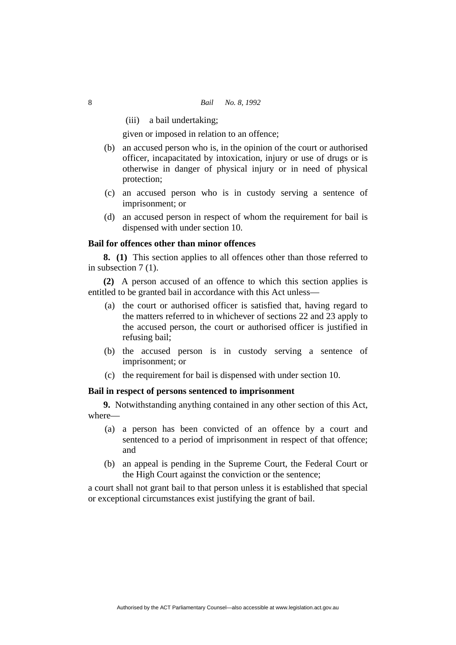(iii) a bail undertaking;

given or imposed in relation to an offence;

- (b) an accused person who is, in the opinion of the court or authorised officer, incapacitated by intoxication, injury or use of drugs or is otherwise in danger of physical injury or in need of physical protection;
- (c) an accused person who is in custody serving a sentence of imprisonment; or
- (d) an accused person in respect of whom the requirement for bail is dispensed with under section 10.

# **Bail for offences other than minor offences**

**8. (1)** This section applies to all offences other than those referred to in subsection 7 (1).

**(2)** A person accused of an offence to which this section applies is entitled to be granted bail in accordance with this Act unless—

- (a) the court or authorised officer is satisfied that, having regard to the matters referred to in whichever of sections 22 and 23 apply to the accused person, the court or authorised officer is justified in refusing bail;
- (b) the accused person is in custody serving a sentence of imprisonment; or
- (c) the requirement for bail is dispensed with under section 10.

#### **Bail in respect of persons sentenced to imprisonment**

**9.** Notwithstanding anything contained in any other section of this Act, where—

- (a) a person has been convicted of an offence by a court and sentenced to a period of imprisonment in respect of that offence; and
- (b) an appeal is pending in the Supreme Court, the Federal Court or the High Court against the conviction or the sentence;

a court shall not grant bail to that person unless it is established that special or exceptional circumstances exist justifying the grant of bail.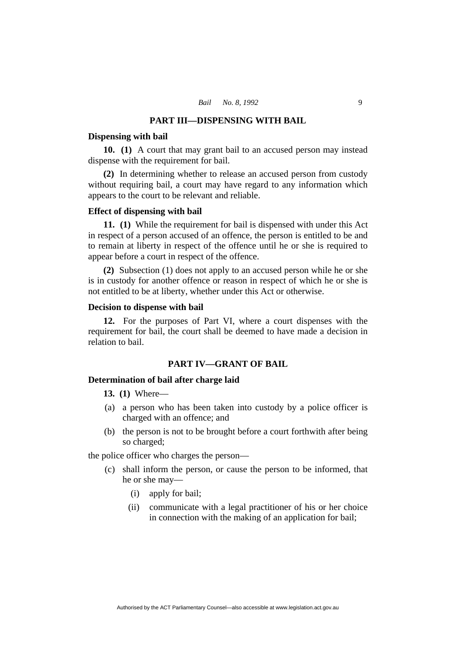#### **PART III—DISPENSING WITH BAIL**

#### **Dispensing with bail**

**10. (1)** A court that may grant bail to an accused person may instead dispense with the requirement for bail.

**(2)** In determining whether to release an accused person from custody without requiring bail, a court may have regard to any information which appears to the court to be relevant and reliable.

#### **Effect of dispensing with bail**

**11. (1)** While the requirement for bail is dispensed with under this Act in respect of a person accused of an offence, the person is entitled to be and to remain at liberty in respect of the offence until he or she is required to appear before a court in respect of the offence.

**(2)** Subsection (1) does not apply to an accused person while he or she is in custody for another offence or reason in respect of which he or she is not entitled to be at liberty, whether under this Act or otherwise.

# **Decision to dispense with bail**

**12.** For the purposes of Part VI, where a court dispenses with the requirement for bail, the court shall be deemed to have made a decision in relation to bail.

# **PART IV—GRANT OF BAIL**

#### **Determination of bail after charge laid**

**13. (1)** Where—

- (a) a person who has been taken into custody by a police officer is charged with an offence; and
- (b) the person is not to be brought before a court forthwith after being so charged;

the police officer who charges the person—

- (c) shall inform the person, or cause the person to be informed, that he or she may—
	- (i) apply for bail;
	- (ii) communicate with a legal practitioner of his or her choice in connection with the making of an application for bail;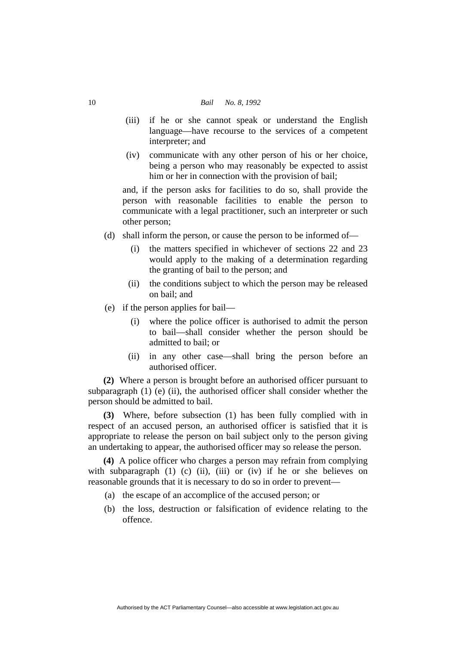#### 10 *Bail No. 8, 1992*

- (iii) if he or she cannot speak or understand the English language—have recourse to the services of a competent interpreter; and
- (iv) communicate with any other person of his or her choice, being a person who may reasonably be expected to assist him or her in connection with the provision of bail;

and, if the person asks for facilities to do so, shall provide the person with reasonable facilities to enable the person to communicate with a legal practitioner, such an interpreter or such other person;

- (d) shall inform the person, or cause the person to be informed of
	- the matters specified in whichever of sections 22 and 23 would apply to the making of a determination regarding the granting of bail to the person; and
	- (ii) the conditions subject to which the person may be released on bail; and
- (e) if the person applies for bail—
	- (i) where the police officer is authorised to admit the person to bail—shall consider whether the person should be admitted to bail; or
	- (ii) in any other case—shall bring the person before an authorised officer.

**(2)** Where a person is brought before an authorised officer pursuant to subparagraph  $(1)$  (e) (ii), the authorised officer shall consider whether the person should be admitted to bail.

**(3)** Where, before subsection (1) has been fully complied with in respect of an accused person, an authorised officer is satisfied that it is appropriate to release the person on bail subject only to the person giving an undertaking to appear, the authorised officer may so release the person.

**(4)** A police officer who charges a person may refrain from complying with subparagraph  $(1)$   $(c)$   $(ii)$ ,  $(iii)$  or  $(iv)$  if he or she believes on reasonable grounds that it is necessary to do so in order to prevent—

- (a) the escape of an accomplice of the accused person; or
- (b) the loss, destruction or falsification of evidence relating to the offence.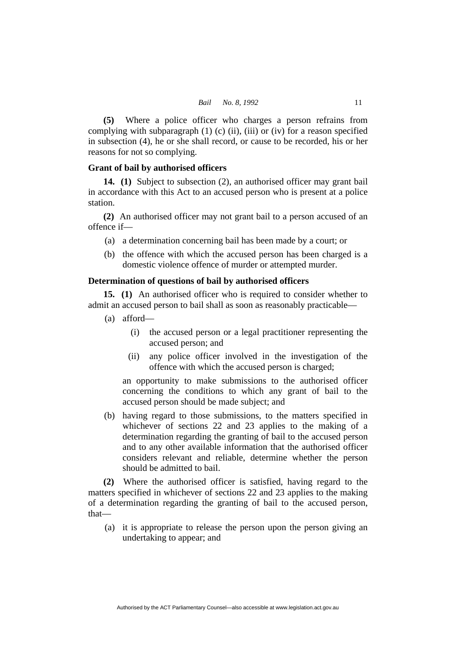**(5)** Where a police officer who charges a person refrains from complying with subparagraph  $(1)$  (c) (ii), (iii) or (iv) for a reason specified in subsection (4), he or she shall record, or cause to be recorded, his or her reasons for not so complying.

# **Grant of bail by authorised officers**

**14. (1)** Subject to subsection (2), an authorised officer may grant bail in accordance with this Act to an accused person who is present at a police station.

**(2)** An authorised officer may not grant bail to a person accused of an offence if—

- (a) a determination concerning bail has been made by a court; or
- (b) the offence with which the accused person has been charged is a domestic violence offence of murder or attempted murder.

# **Determination of questions of bail by authorised officers**

**15. (1)** An authorised officer who is required to consider whether to admit an accused person to bail shall as soon as reasonably practicable—

- (a) afford—
	- (i) the accused person or a legal practitioner representing the accused person; and
	- (ii) any police officer involved in the investigation of the offence with which the accused person is charged;

an opportunity to make submissions to the authorised officer concerning the conditions to which any grant of bail to the accused person should be made subject; and

 (b) having regard to those submissions, to the matters specified in whichever of sections 22 and 23 applies to the making of a determination regarding the granting of bail to the accused person and to any other available information that the authorised officer considers relevant and reliable, determine whether the person should be admitted to bail.

**(2)** Where the authorised officer is satisfied, having regard to the matters specified in whichever of sections 22 and 23 applies to the making of a determination regarding the granting of bail to the accused person, that—

 (a) it is appropriate to release the person upon the person giving an undertaking to appear; and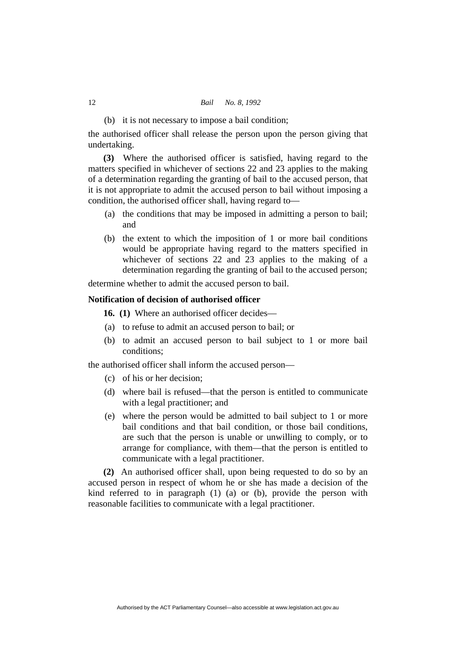(b) it is not necessary to impose a bail condition;

the authorised officer shall release the person upon the person giving that undertaking.

**(3)** Where the authorised officer is satisfied, having regard to the matters specified in whichever of sections 22 and 23 applies to the making of a determination regarding the granting of bail to the accused person, that it is not appropriate to admit the accused person to bail without imposing a condition, the authorised officer shall, having regard to—

- (a) the conditions that may be imposed in admitting a person to bail; and
- (b) the extent to which the imposition of 1 or more bail conditions would be appropriate having regard to the matters specified in whichever of sections 22 and 23 applies to the making of a determination regarding the granting of bail to the accused person;

determine whether to admit the accused person to bail.

# **Notification of decision of authorised officer**

**16. (1)** Where an authorised officer decides—

- (a) to refuse to admit an accused person to bail; or
- (b) to admit an accused person to bail subject to 1 or more bail conditions;

the authorised officer shall inform the accused person—

- (c) of his or her decision;
- (d) where bail is refused—that the person is entitled to communicate with a legal practitioner; and
- (e) where the person would be admitted to bail subject to 1 or more bail conditions and that bail condition, or those bail conditions, are such that the person is unable or unwilling to comply, or to arrange for compliance, with them—that the person is entitled to communicate with a legal practitioner.

**(2)** An authorised officer shall, upon being requested to do so by an accused person in respect of whom he or she has made a decision of the kind referred to in paragraph (1) (a) or (b), provide the person with reasonable facilities to communicate with a legal practitioner.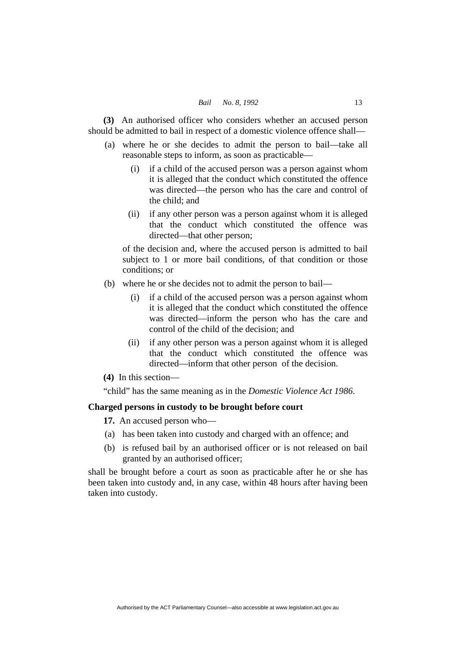**(3)** An authorised officer who considers whether an accused person should be admitted to bail in respect of a domestic violence offence shall—

- (a) where he or she decides to admit the person to bail—take all reasonable steps to inform, as soon as practicable—
	- (i) if a child of the accused person was a person against whom it is alleged that the conduct which constituted the offence was directed—the person who has the care and control of the child; and
	- (ii) if any other person was a person against whom it is alleged that the conduct which constituted the offence was directed—that other person;

of the decision and, where the accused person is admitted to bail subject to 1 or more bail conditions, of that condition or those conditions; or

- (b) where he or she decides not to admit the person to bail—
	- (i) if a child of the accused person was a person against whom it is alleged that the conduct which constituted the offence was directed—inform the person who has the care and control of the child of the decision; and
	- (ii) if any other person was a person against whom it is alleged that the conduct which constituted the offence was directed—inform that other person of the decision.
- **(4)** In this section—

"child" has the same meaning as in the *Domestic Violence Act 1986*.

# **Charged persons in custody to be brought before court**

**17.** An accused person who—

- (a) has been taken into custody and charged with an offence; and
- (b) is refused bail by an authorised officer or is not released on bail granted by an authorised officer;

shall be brought before a court as soon as practicable after he or she has been taken into custody and, in any case, within 48 hours after having been taken into custody.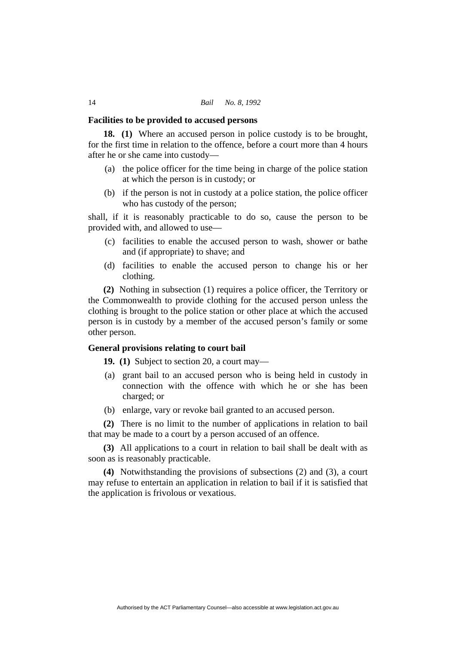#### **Facilities to be provided to accused persons**

**18. (1)** Where an accused person in police custody is to be brought, for the first time in relation to the offence, before a court more than 4 hours after he or she came into custody—

- (a) the police officer for the time being in charge of the police station at which the person is in custody; or
- (b) if the person is not in custody at a police station, the police officer who has custody of the person;

shall, if it is reasonably practicable to do so, cause the person to be provided with, and allowed to use—

- (c) facilities to enable the accused person to wash, shower or bathe and (if appropriate) to shave; and
- (d) facilities to enable the accused person to change his or her clothing.

**(2)** Nothing in subsection (1) requires a police officer, the Territory or the Commonwealth to provide clothing for the accused person unless the clothing is brought to the police station or other place at which the accused person is in custody by a member of the accused person's family or some other person.

# **General provisions relating to court bail**

**19. (1)** Subject to section 20, a court may—

- (a) grant bail to an accused person who is being held in custody in connection with the offence with which he or she has been charged; or
- (b) enlarge, vary or revoke bail granted to an accused person.

**(2)** There is no limit to the number of applications in relation to bail that may be made to a court by a person accused of an offence.

**(3)** All applications to a court in relation to bail shall be dealt with as soon as is reasonably practicable.

**(4)** Notwithstanding the provisions of subsections (2) and (3), a court may refuse to entertain an application in relation to bail if it is satisfied that the application is frivolous or vexatious.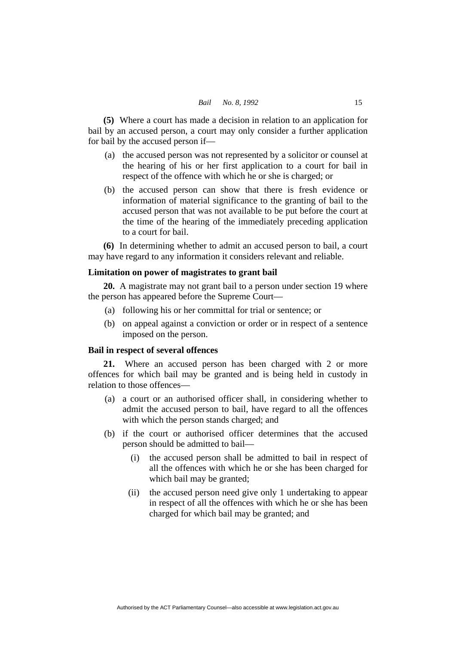**(5)** Where a court has made a decision in relation to an application for bail by an accused person, a court may only consider a further application for bail by the accused person if—

- (a) the accused person was not represented by a solicitor or counsel at the hearing of his or her first application to a court for bail in respect of the offence with which he or she is charged; or
- (b) the accused person can show that there is fresh evidence or information of material significance to the granting of bail to the accused person that was not available to be put before the court at the time of the hearing of the immediately preceding application to a court for bail.

**(6)** In determining whether to admit an accused person to bail, a court may have regard to any information it considers relevant and reliable.

# **Limitation on power of magistrates to grant bail**

**20.** A magistrate may not grant bail to a person under section 19 where the person has appeared before the Supreme Court—

- (a) following his or her committal for trial or sentence; or
- (b) on appeal against a conviction or order or in respect of a sentence imposed on the person.

#### **Bail in respect of several offences**

**21.** Where an accused person has been charged with 2 or more offences for which bail may be granted and is being held in custody in relation to those offences—

- (a) a court or an authorised officer shall, in considering whether to admit the accused person to bail, have regard to all the offences with which the person stands charged; and
- (b) if the court or authorised officer determines that the accused person should be admitted to bail—
	- (i) the accused person shall be admitted to bail in respect of all the offences with which he or she has been charged for which bail may be granted;
	- (ii) the accused person need give only 1 undertaking to appear in respect of all the offences with which he or she has been charged for which bail may be granted; and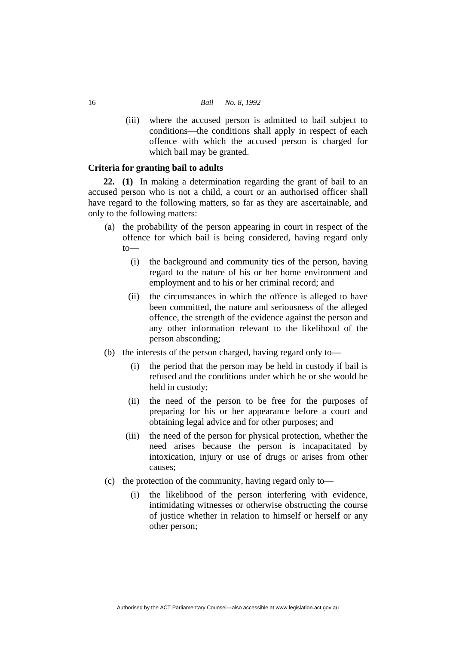(iii) where the accused person is admitted to bail subject to conditions—the conditions shall apply in respect of each offence with which the accused person is charged for which bail may be granted.

# **Criteria for granting bail to adults**

**22. (1)** In making a determination regarding the grant of bail to an accused person who is not a child, a court or an authorised officer shall have regard to the following matters, so far as they are ascertainable, and only to the following matters:

- (a) the probability of the person appearing in court in respect of the offence for which bail is being considered, having regard only to—
	- (i) the background and community ties of the person, having regard to the nature of his or her home environment and employment and to his or her criminal record; and
	- (ii) the circumstances in which the offence is alleged to have been committed, the nature and seriousness of the alleged offence, the strength of the evidence against the person and any other information relevant to the likelihood of the person absconding;
- (b) the interests of the person charged, having regard only to—
	- (i) the period that the person may be held in custody if bail is refused and the conditions under which he or she would be held in custody;
	- (ii) the need of the person to be free for the purposes of preparing for his or her appearance before a court and obtaining legal advice and for other purposes; and
	- (iii) the need of the person for physical protection, whether the need arises because the person is incapacitated by intoxication, injury or use of drugs or arises from other causes;
- (c) the protection of the community, having regard only to—
	- (i) the likelihood of the person interfering with evidence, intimidating witnesses or otherwise obstructing the course of justice whether in relation to himself or herself or any other person;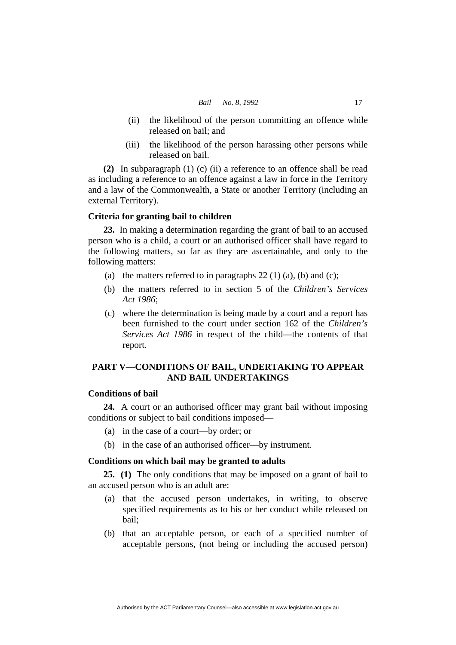- (ii) the likelihood of the person committing an offence while released on bail; and
- (iii) the likelihood of the person harassing other persons while released on bail.

**(2)** In subparagraph (1) (c) (ii) a reference to an offence shall be read as including a reference to an offence against a law in force in the Territory and a law of the Commonwealth, a State or another Territory (including an external Territory).

# **Criteria for granting bail to children**

**23.** In making a determination regarding the grant of bail to an accused person who is a child, a court or an authorised officer shall have regard to the following matters, so far as they are ascertainable, and only to the following matters:

- (a) the matters referred to in paragraphs  $22(1)(a)$ , (b) and (c);
- (b) the matters referred to in section 5 of the *Children's Services Act 1986*;
- (c) where the determination is being made by a court and a report has been furnished to the court under section 162 of the *Children's Services Act 1986* in respect of the child—the contents of that report.

# **PART V—CONDITIONS OF BAIL, UNDERTAKING TO APPEAR AND BAIL UNDERTAKINGS**

# **Conditions of bail**

**24.** A court or an authorised officer may grant bail without imposing conditions or subject to bail conditions imposed—

- (a) in the case of a court—by order; or
- (b) in the case of an authorised officer—by instrument.

# **Conditions on which bail may be granted to adults**

**25. (1)** The only conditions that may be imposed on a grant of bail to an accused person who is an adult are:

- (a) that the accused person undertakes, in writing, to observe specified requirements as to his or her conduct while released on bail;
- (b) that an acceptable person, or each of a specified number of acceptable persons, (not being or including the accused person)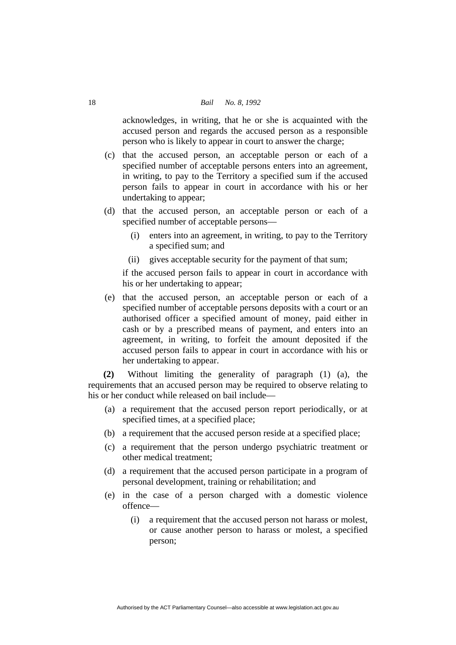acknowledges, in writing, that he or she is acquainted with the accused person and regards the accused person as a responsible person who is likely to appear in court to answer the charge;

- (c) that the accused person, an acceptable person or each of a specified number of acceptable persons enters into an agreement, in writing, to pay to the Territory a specified sum if the accused person fails to appear in court in accordance with his or her undertaking to appear;
- (d) that the accused person, an acceptable person or each of a specified number of acceptable persons—
	- (i) enters into an agreement, in writing, to pay to the Territory a specified sum; and
	- (ii) gives acceptable security for the payment of that sum;

if the accused person fails to appear in court in accordance with his or her undertaking to appear;

 (e) that the accused person, an acceptable person or each of a specified number of acceptable persons deposits with a court or an authorised officer a specified amount of money, paid either in cash or by a prescribed means of payment, and enters into an agreement, in writing, to forfeit the amount deposited if the accused person fails to appear in court in accordance with his or her undertaking to appear.

**(2)** Without limiting the generality of paragraph (1) (a), the requirements that an accused person may be required to observe relating to his or her conduct while released on bail include—

- (a) a requirement that the accused person report periodically, or at specified times, at a specified place;
- (b) a requirement that the accused person reside at a specified place;
- (c) a requirement that the person undergo psychiatric treatment or other medical treatment;
- (d) a requirement that the accused person participate in a program of personal development, training or rehabilitation; and
- (e) in the case of a person charged with a domestic violence offence—
	- (i) a requirement that the accused person not harass or molest, or cause another person to harass or molest, a specified person;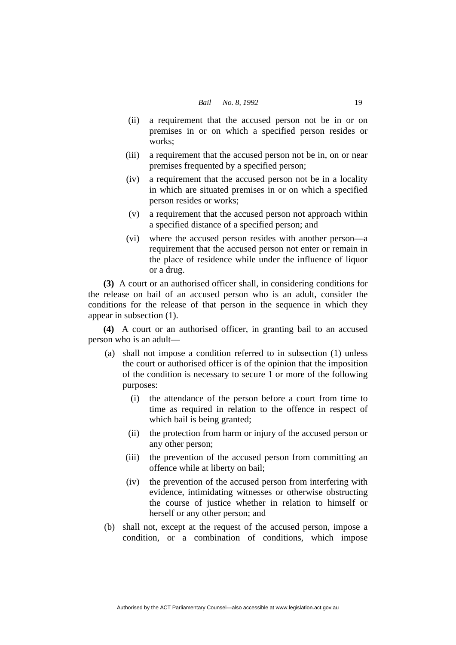- (ii) a requirement that the accused person not be in or on premises in or on which a specified person resides or works;
- (iii) a requirement that the accused person not be in, on or near premises frequented by a specified person;
- (iv) a requirement that the accused person not be in a locality in which are situated premises in or on which a specified person resides or works;
- (v) a requirement that the accused person not approach within a specified distance of a specified person; and
- (vi) where the accused person resides with another person—a requirement that the accused person not enter or remain in the place of residence while under the influence of liquor or a drug.

**(3)** A court or an authorised officer shall, in considering conditions for the release on bail of an accused person who is an adult, consider the conditions for the release of that person in the sequence in which they appear in subsection (1).

**(4)** A court or an authorised officer, in granting bail to an accused person who is an adult—

- (a) shall not impose a condition referred to in subsection (1) unless the court or authorised officer is of the opinion that the imposition of the condition is necessary to secure 1 or more of the following purposes:
	- (i) the attendance of the person before a court from time to time as required in relation to the offence in respect of which bail is being granted;
	- (ii) the protection from harm or injury of the accused person or any other person;
	- (iii) the prevention of the accused person from committing an offence while at liberty on bail;
	- (iv) the prevention of the accused person from interfering with evidence, intimidating witnesses or otherwise obstructing the course of justice whether in relation to himself or herself or any other person; and
- (b) shall not, except at the request of the accused person, impose a condition, or a combination of conditions, which impose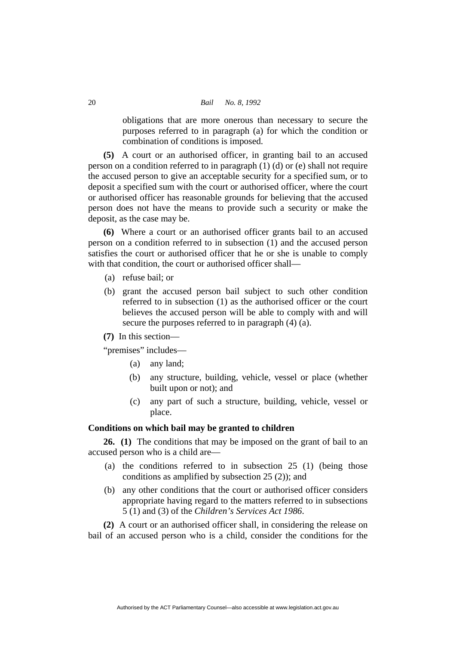obligations that are more onerous than necessary to secure the purposes referred to in paragraph (a) for which the condition or combination of conditions is imposed.

**(5)** A court or an authorised officer, in granting bail to an accused person on a condition referred to in paragraph (1) (d) or (e) shall not require the accused person to give an acceptable security for a specified sum, or to deposit a specified sum with the court or authorised officer, where the court or authorised officer has reasonable grounds for believing that the accused person does not have the means to provide such a security or make the deposit, as the case may be.

**(6)** Where a court or an authorised officer grants bail to an accused person on a condition referred to in subsection (1) and the accused person satisfies the court or authorised officer that he or she is unable to comply with that condition, the court or authorised officer shall—

- (a) refuse bail; or
- (b) grant the accused person bail subject to such other condition referred to in subsection (1) as the authorised officer or the court believes the accused person will be able to comply with and will secure the purposes referred to in paragraph (4) (a).
- **(7)** In this section—

"premises" includes—

- (a) any land;
- (b) any structure, building, vehicle, vessel or place (whether built upon or not); and
- (c) any part of such a structure, building, vehicle, vessel or place.

# **Conditions on which bail may be granted to children**

**26. (1)** The conditions that may be imposed on the grant of bail to an accused person who is a child are—

- (a) the conditions referred to in subsection 25 (1) (being those conditions as amplified by subsection 25 (2)); and
- (b) any other conditions that the court or authorised officer considers appropriate having regard to the matters referred to in subsections 5 (1) and (3) of the *Children's Services Act 1986*.

**(2)** A court or an authorised officer shall, in considering the release on bail of an accused person who is a child, consider the conditions for the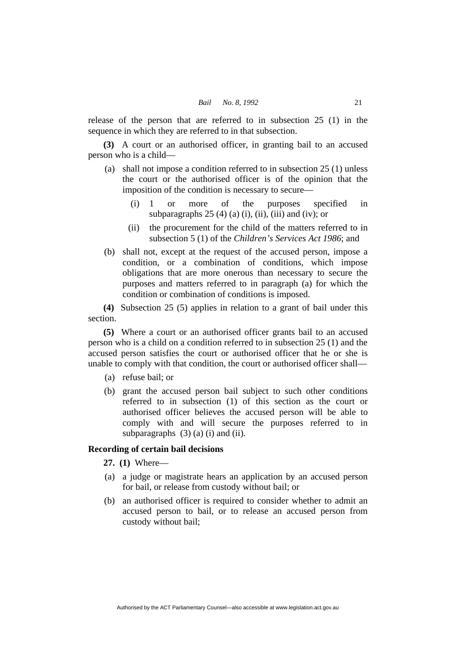release of the person that are referred to in subsection 25 (1) in the sequence in which they are referred to in that subsection.

**(3)** A court or an authorised officer, in granting bail to an accused person who is a child—

- (a) shall not impose a condition referred to in subsection 25 (1) unless the court or the authorised officer is of the opinion that the imposition of the condition is necessary to secure—
- (i) 1 or more of the purposes specified in subparagraphs  $25(4)$  (a) (i), (ii), (iii) and (iv); or
	- (ii) the procurement for the child of the matters referred to in subsection 5 (1) of the *Children's Services Act 1986*; and
	- (b) shall not, except at the request of the accused person, impose a condition, or a combination of conditions, which impose obligations that are more onerous than necessary to secure the purposes and matters referred to in paragraph (a) for which the condition or combination of conditions is imposed.

**(4)** Subsection 25 (5) applies in relation to a grant of bail under this section.

**(5)** Where a court or an authorised officer grants bail to an accused person who is a child on a condition referred to in subsection 25 (1) and the accused person satisfies the court or authorised officer that he or she is unable to comply with that condition, the court or authorised officer shall—

- (a) refuse bail; or
- (b) grant the accused person bail subject to such other conditions referred to in subsection (1) of this section as the court or authorised officer believes the accused person will be able to comply with and will secure the purposes referred to in subparagraphs  $(3)$   $(a)$   $(i)$  and  $(ii)$ .

# **Recording of certain bail decisions**

**27. (1)** Where—

- (a) a judge or magistrate hears an application by an accused person for bail, or release from custody without bail; or
- (b) an authorised officer is required to consider whether to admit an accused person to bail, or to release an accused person from custody without bail;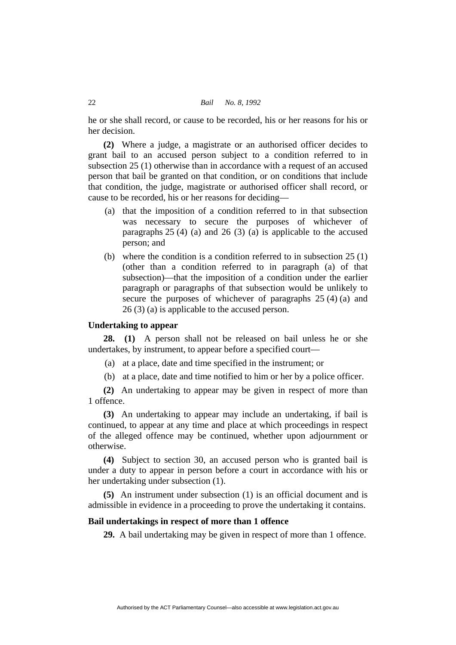he or she shall record, or cause to be recorded, his or her reasons for his or her decision.

**(2)** Where a judge, a magistrate or an authorised officer decides to grant bail to an accused person subject to a condition referred to in subsection 25 (1) otherwise than in accordance with a request of an accused person that bail be granted on that condition, or on conditions that include that condition, the judge, magistrate or authorised officer shall record, or cause to be recorded, his or her reasons for deciding—

- (a) that the imposition of a condition referred to in that subsection was necessary to secure the purposes of whichever of paragraphs  $25(4)$  (a) and  $26(3)$  (a) is applicable to the accused person; and
- (b) where the condition is a condition referred to in subsection 25 (1) (other than a condition referred to in paragraph (a) of that subsection)—that the imposition of a condition under the earlier paragraph or paragraphs of that subsection would be unlikely to secure the purposes of whichever of paragraphs 25 (4) (a) and 26 (3) (a) is applicable to the accused person.

# **Undertaking to appear**

**28. (1)** A person shall not be released on bail unless he or she undertakes, by instrument, to appear before a specified court—

- (a) at a place, date and time specified in the instrument; or
- (b) at a place, date and time notified to him or her by a police officer.

**(2)** An undertaking to appear may be given in respect of more than 1 offence.

**(3)** An undertaking to appear may include an undertaking, if bail is continued, to appear at any time and place at which proceedings in respect of the alleged offence may be continued, whether upon adjournment or otherwise.

**(4)** Subject to section 30, an accused person who is granted bail is under a duty to appear in person before a court in accordance with his or her undertaking under subsection (1).

**(5)** An instrument under subsection (1) is an official document and is admissible in evidence in a proceeding to prove the undertaking it contains.

# **Bail undertakings in respect of more than 1 offence**

**29.** A bail undertaking may be given in respect of more than 1 offence.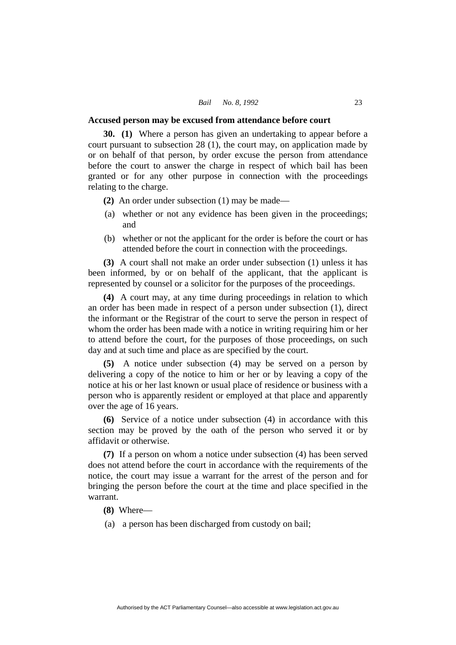#### **Accused person may be excused from attendance before court**

**30. (1)** Where a person has given an undertaking to appear before a court pursuant to subsection 28 (1), the court may, on application made by or on behalf of that person, by order excuse the person from attendance before the court to answer the charge in respect of which bail has been granted or for any other purpose in connection with the proceedings relating to the charge.

**(2)** An order under subsection (1) may be made—

- (a) whether or not any evidence has been given in the proceedings; and
- (b) whether or not the applicant for the order is before the court or has attended before the court in connection with the proceedings.

**(3)** A court shall not make an order under subsection (1) unless it has been informed, by or on behalf of the applicant, that the applicant is represented by counsel or a solicitor for the purposes of the proceedings.

**(4)** A court may, at any time during proceedings in relation to which an order has been made in respect of a person under subsection (1), direct the informant or the Registrar of the court to serve the person in respect of whom the order has been made with a notice in writing requiring him or her to attend before the court, for the purposes of those proceedings, on such day and at such time and place as are specified by the court.

**(5)** A notice under subsection (4) may be served on a person by delivering a copy of the notice to him or her or by leaving a copy of the notice at his or her last known or usual place of residence or business with a person who is apparently resident or employed at that place and apparently over the age of 16 years.

**(6)** Service of a notice under subsection (4) in accordance with this section may be proved by the oath of the person who served it or by affidavit or otherwise.

**(7)** If a person on whom a notice under subsection (4) has been served does not attend before the court in accordance with the requirements of the notice, the court may issue a warrant for the arrest of the person and for bringing the person before the court at the time and place specified in the warrant.

**(8)** Where—

(a) a person has been discharged from custody on bail;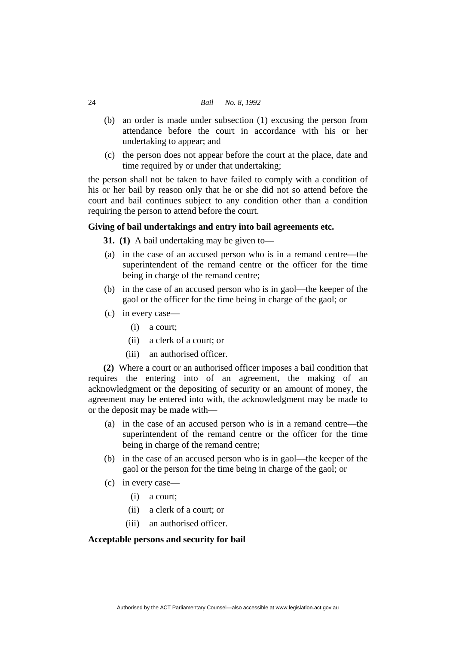#### 24 *Bail No. 8, 1992*

- (b) an order is made under subsection (1) excusing the person from attendance before the court in accordance with his or her undertaking to appear; and
- (c) the person does not appear before the court at the place, date and time required by or under that undertaking;

the person shall not be taken to have failed to comply with a condition of his or her bail by reason only that he or she did not so attend before the court and bail continues subject to any condition other than a condition requiring the person to attend before the court.

# **Giving of bail undertakings and entry into bail agreements etc.**

**31. (1)** A bail undertaking may be given to—

- (a) in the case of an accused person who is in a remand centre—the superintendent of the remand centre or the officer for the time being in charge of the remand centre;
- (b) in the case of an accused person who is in gaol—the keeper of the gaol or the officer for the time being in charge of the gaol; or
- (c) in every case—
	- (i) a court;
	- (ii) a clerk of a court; or
	- (iii) an authorised officer.

**(2)** Where a court or an authorised officer imposes a bail condition that requires the entering into of an agreement, the making of an acknowledgment or the depositing of security or an amount of money, the agreement may be entered into with, the acknowledgment may be made to or the deposit may be made with—

- (a) in the case of an accused person who is in a remand centre—the superintendent of the remand centre or the officer for the time being in charge of the remand centre;
- (b) in the case of an accused person who is in gaol—the keeper of the gaol or the person for the time being in charge of the gaol; or
- (c) in every case—
	- (i) a court;
	- (ii) a clerk of a court; or
	- (iii) an authorised officer.

# **Acceptable persons and security for bail**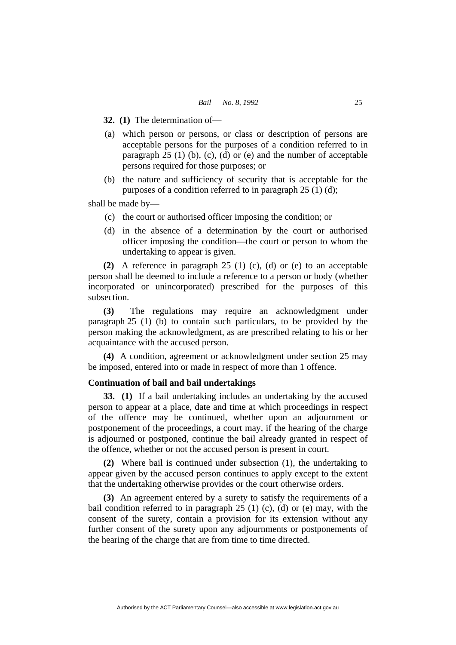**32. (1)** The determination of—

- (a) which person or persons, or class or description of persons are acceptable persons for the purposes of a condition referred to in paragraph  $25$  (1) (b), (c), (d) or (e) and the number of acceptable persons required for those purposes; or
- (b) the nature and sufficiency of security that is acceptable for the purposes of a condition referred to in paragraph 25 (1) (d);

shall be made by—

- (c) the court or authorised officer imposing the condition; or
- (d) in the absence of a determination by the court or authorised officer imposing the condition—the court or person to whom the undertaking to appear is given.

**(2)** A reference in paragraph 25 (1) (c), (d) or (e) to an acceptable person shall be deemed to include a reference to a person or body (whether incorporated or unincorporated) prescribed for the purposes of this subsection.

**(3)** The regulations may require an acknowledgment under paragraph 25 (1) (b) to contain such particulars, to be provided by the person making the acknowledgment, as are prescribed relating to his or her acquaintance with the accused person.

**(4)** A condition, agreement or acknowledgment under section 25 may be imposed, entered into or made in respect of more than 1 offence.

# **Continuation of bail and bail undertakings**

**33. (1)** If a bail undertaking includes an undertaking by the accused person to appear at a place, date and time at which proceedings in respect of the offence may be continued, whether upon an adjournment or postponement of the proceedings, a court may, if the hearing of the charge is adjourned or postponed, continue the bail already granted in respect of the offence, whether or not the accused person is present in court.

**(2)** Where bail is continued under subsection (1), the undertaking to appear given by the accused person continues to apply except to the extent that the undertaking otherwise provides or the court otherwise orders.

**(3)** An agreement entered by a surety to satisfy the requirements of a bail condition referred to in paragraph  $25$  (1) (c), (d) or (e) may, with the consent of the surety, contain a provision for its extension without any further consent of the surety upon any adjournments or postponements of the hearing of the charge that are from time to time directed.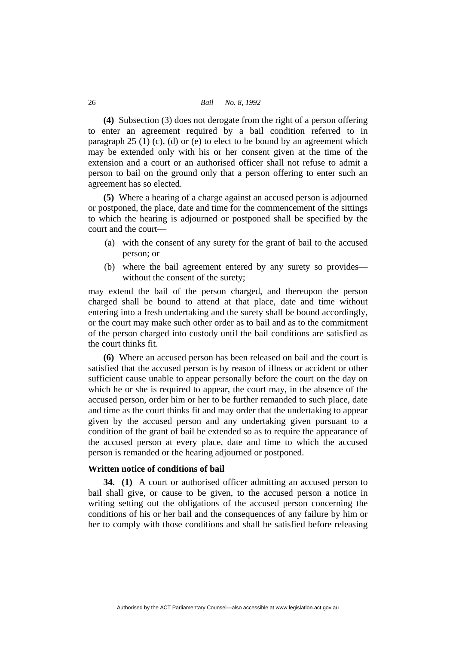#### 26 *Bail No. 8, 1992*

**(4)** Subsection (3) does not derogate from the right of a person offering to enter an agreement required by a bail condition referred to in paragraph  $25$  (1) (c), (d) or (e) to elect to be bound by an agreement which may be extended only with his or her consent given at the time of the extension and a court or an authorised officer shall not refuse to admit a person to bail on the ground only that a person offering to enter such an agreement has so elected.

**(5)** Where a hearing of a charge against an accused person is adjourned or postponed, the place, date and time for the commencement of the sittings to which the hearing is adjourned or postponed shall be specified by the court and the court—

- (a) with the consent of any surety for the grant of bail to the accused person; or
- (b) where the bail agreement entered by any surety so provides without the consent of the surety;

may extend the bail of the person charged, and thereupon the person charged shall be bound to attend at that place, date and time without entering into a fresh undertaking and the surety shall be bound accordingly, or the court may make such other order as to bail and as to the commitment of the person charged into custody until the bail conditions are satisfied as the court thinks fit.

**(6)** Where an accused person has been released on bail and the court is satisfied that the accused person is by reason of illness or accident or other sufficient cause unable to appear personally before the court on the day on which he or she is required to appear, the court may, in the absence of the accused person, order him or her to be further remanded to such place, date and time as the court thinks fit and may order that the undertaking to appear given by the accused person and any undertaking given pursuant to a condition of the grant of bail be extended so as to require the appearance of the accused person at every place, date and time to which the accused person is remanded or the hearing adjourned or postponed.

# **Written notice of conditions of bail**

**34. (1)** A court or authorised officer admitting an accused person to bail shall give, or cause to be given, to the accused person a notice in writing setting out the obligations of the accused person concerning the conditions of his or her bail and the consequences of any failure by him or her to comply with those conditions and shall be satisfied before releasing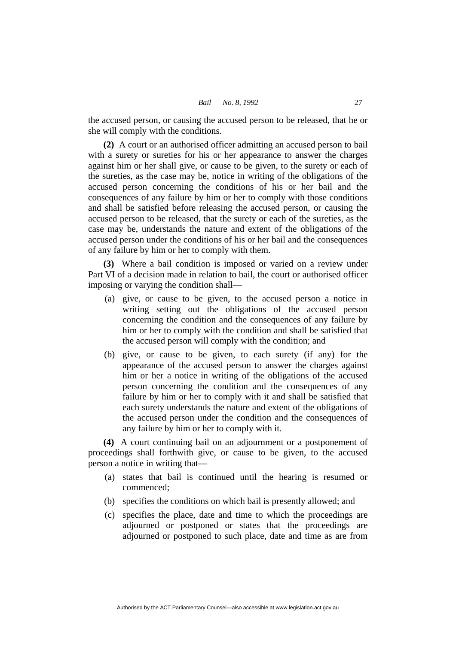the accused person, or causing the accused person to be released, that he or she will comply with the conditions.

**(2)** A court or an authorised officer admitting an accused person to bail with a surety or sureties for his or her appearance to answer the charges against him or her shall give, or cause to be given, to the surety or each of the sureties, as the case may be, notice in writing of the obligations of the accused person concerning the conditions of his or her bail and the consequences of any failure by him or her to comply with those conditions and shall be satisfied before releasing the accused person, or causing the accused person to be released, that the surety or each of the sureties, as the case may be, understands the nature and extent of the obligations of the accused person under the conditions of his or her bail and the consequences of any failure by him or her to comply with them.

**(3)** Where a bail condition is imposed or varied on a review under Part VI of a decision made in relation to bail, the court or authorised officer imposing or varying the condition shall—

- (a) give, or cause to be given, to the accused person a notice in writing setting out the obligations of the accused person concerning the condition and the consequences of any failure by him or her to comply with the condition and shall be satisfied that the accused person will comply with the condition; and
- (b) give, or cause to be given, to each surety (if any) for the appearance of the accused person to answer the charges against him or her a notice in writing of the obligations of the accused person concerning the condition and the consequences of any failure by him or her to comply with it and shall be satisfied that each surety understands the nature and extent of the obligations of the accused person under the condition and the consequences of any failure by him or her to comply with it.

**(4)** A court continuing bail on an adjournment or a postponement of proceedings shall forthwith give, or cause to be given, to the accused person a notice in writing that—

- (a) states that bail is continued until the hearing is resumed or commenced;
- (b) specifies the conditions on which bail is presently allowed; and
- (c) specifies the place, date and time to which the proceedings are adjourned or postponed or states that the proceedings are adjourned or postponed to such place, date and time as are from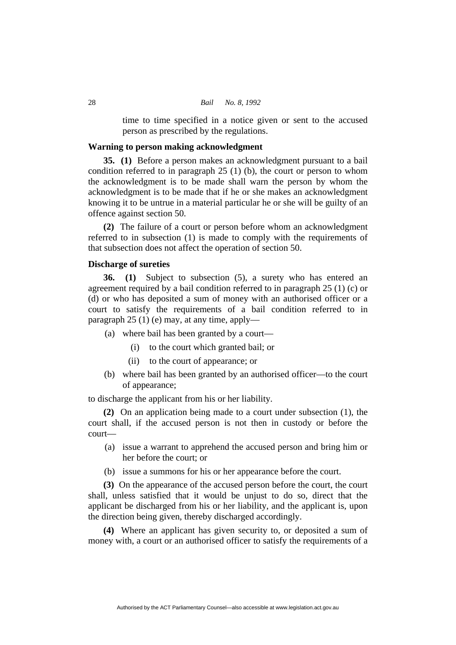time to time specified in a notice given or sent to the accused person as prescribed by the regulations.

# **Warning to person making acknowledgment**

**35. (1)** Before a person makes an acknowledgment pursuant to a bail condition referred to in paragraph 25 (1) (b), the court or person to whom the acknowledgment is to be made shall warn the person by whom the acknowledgment is to be made that if he or she makes an acknowledgment knowing it to be untrue in a material particular he or she will be guilty of an offence against section 50.

**(2)** The failure of a court or person before whom an acknowledgment referred to in subsection (1) is made to comply with the requirements of that subsection does not affect the operation of section 50.

# **Discharge of sureties**

**36. (1)** Subject to subsection (5), a surety who has entered an agreement required by a bail condition referred to in paragraph 25 (1) (c) or (d) or who has deposited a sum of money with an authorised officer or a court to satisfy the requirements of a bail condition referred to in paragraph 25 (1) (e) may, at any time, apply—

- (a) where bail has been granted by a court—
	- (i) to the court which granted bail; or
	- (ii) to the court of appearance; or
- (b) where bail has been granted by an authorised officer—to the court of appearance;

to discharge the applicant from his or her liability.

**(2)** On an application being made to a court under subsection (1), the court shall, if the accused person is not then in custody or before the court—

- (a) issue a warrant to apprehend the accused person and bring him or her before the court; or
- (b) issue a summons for his or her appearance before the court.

**(3)** On the appearance of the accused person before the court, the court shall, unless satisfied that it would be unjust to do so, direct that the applicant be discharged from his or her liability, and the applicant is, upon the direction being given, thereby discharged accordingly.

**(4)** Where an applicant has given security to, or deposited a sum of money with, a court or an authorised officer to satisfy the requirements of a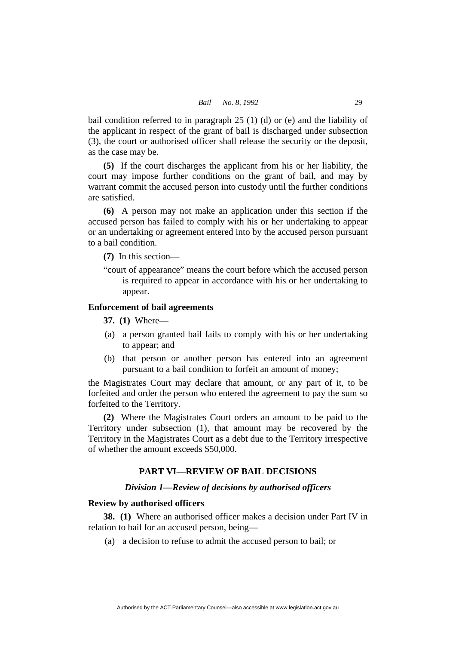bail condition referred to in paragraph 25 (1) (d) or (e) and the liability of the applicant in respect of the grant of bail is discharged under subsection (3), the court or authorised officer shall release the security or the deposit, as the case may be.

**(5)** If the court discharges the applicant from his or her liability, the court may impose further conditions on the grant of bail, and may by warrant commit the accused person into custody until the further conditions are satisfied.

**(6)** A person may not make an application under this section if the accused person has failed to comply with his or her undertaking to appear or an undertaking or agreement entered into by the accused person pursuant to a bail condition.

**(7)** In this section—

"court of appearance" means the court before which the accused person is required to appear in accordance with his or her undertaking to appear.

# **Enforcement of bail agreements**

**37. (1)** Where—

- (a) a person granted bail fails to comply with his or her undertaking to appear; and
- (b) that person or another person has entered into an agreement pursuant to a bail condition to forfeit an amount of money;

the Magistrates Court may declare that amount, or any part of it, to be forfeited and order the person who entered the agreement to pay the sum so forfeited to the Territory.

**(2)** Where the Magistrates Court orders an amount to be paid to the Territory under subsection (1), that amount may be recovered by the Territory in the Magistrates Court as a debt due to the Territory irrespective of whether the amount exceeds \$50,000.

# **PART VI—REVIEW OF BAIL DECISIONS**

# *Division 1—Review of decisions by authorised officers*

#### **Review by authorised officers**

**38. (1)** Where an authorised officer makes a decision under Part IV in relation to bail for an accused person, being—

(a) a decision to refuse to admit the accused person to bail; or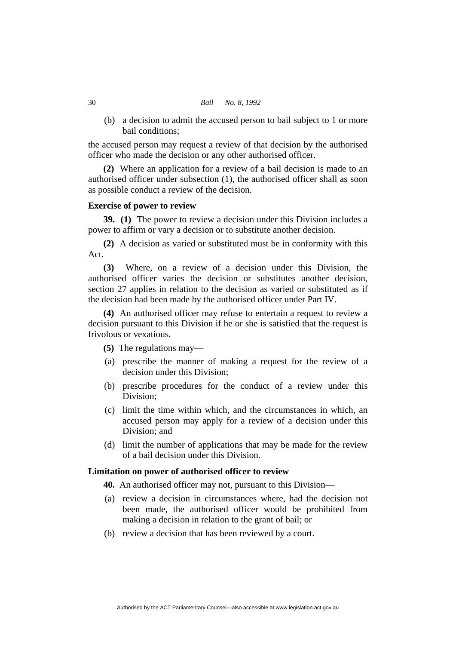#### 30 *Bail No. 8, 1992*

 (b) a decision to admit the accused person to bail subject to 1 or more bail conditions;

the accused person may request a review of that decision by the authorised officer who made the decision or any other authorised officer.

**(2)** Where an application for a review of a bail decision is made to an authorised officer under subsection (1), the authorised officer shall as soon as possible conduct a review of the decision.

# **Exercise of power to review**

**39. (1)** The power to review a decision under this Division includes a power to affirm or vary a decision or to substitute another decision.

**(2)** A decision as varied or substituted must be in conformity with this Act.

**(3)** Where, on a review of a decision under this Division, the authorised officer varies the decision or substitutes another decision, section 27 applies in relation to the decision as varied or substituted as if the decision had been made by the authorised officer under Part IV.

**(4)** An authorised officer may refuse to entertain a request to review a decision pursuant to this Division if he or she is satisfied that the request is frivolous or vexatious.

**(5)** The regulations may—

- (a) prescribe the manner of making a request for the review of a decision under this Division;
- (b) prescribe procedures for the conduct of a review under this Division;
- (c) limit the time within which, and the circumstances in which, an accused person may apply for a review of a decision under this Division; and
- (d) limit the number of applications that may be made for the review of a bail decision under this Division.

# **Limitation on power of authorised officer to review**

**40.** An authorised officer may not, pursuant to this Division—

- (a) review a decision in circumstances where, had the decision not been made, the authorised officer would be prohibited from making a decision in relation to the grant of bail; or
- (b) review a decision that has been reviewed by a court.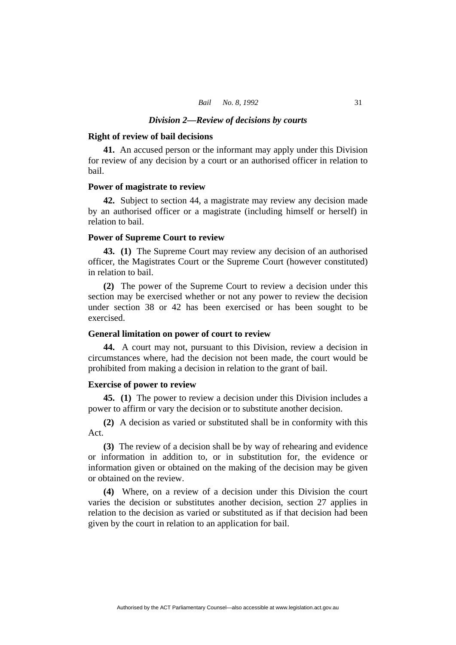#### *Division 2—Review of decisions by courts*

#### **Right of review of bail decisions**

**41.** An accused person or the informant may apply under this Division for review of any decision by a court or an authorised officer in relation to bail.

#### **Power of magistrate to review**

**42.** Subject to section 44, a magistrate may review any decision made by an authorised officer or a magistrate (including himself or herself) in relation to bail.

#### **Power of Supreme Court to review**

**43. (1)** The Supreme Court may review any decision of an authorised officer, the Magistrates Court or the Supreme Court (however constituted) in relation to bail.

**(2)** The power of the Supreme Court to review a decision under this section may be exercised whether or not any power to review the decision under section 38 or 42 has been exercised or has been sought to be exercised.

# **General limitation on power of court to review**

**44.** A court may not, pursuant to this Division, review a decision in circumstances where, had the decision not been made, the court would be prohibited from making a decision in relation to the grant of bail.

# **Exercise of power to review**

**45. (1)** The power to review a decision under this Division includes a power to affirm or vary the decision or to substitute another decision.

**(2)** A decision as varied or substituted shall be in conformity with this Act.

**(3)** The review of a decision shall be by way of rehearing and evidence or information in addition to, or in substitution for, the evidence or information given or obtained on the making of the decision may be given or obtained on the review.

**(4)** Where, on a review of a decision under this Division the court varies the decision or substitutes another decision, section 27 applies in relation to the decision as varied or substituted as if that decision had been given by the court in relation to an application for bail.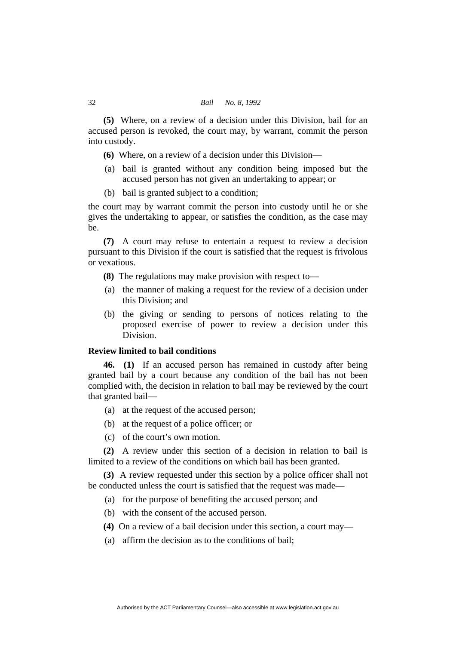**(5)** Where, on a review of a decision under this Division, bail for an accused person is revoked, the court may, by warrant, commit the person into custody.

- **(6)** Where, on a review of a decision under this Division—
- (a) bail is granted without any condition being imposed but the accused person has not given an undertaking to appear; or
- (b) bail is granted subject to a condition;

the court may by warrant commit the person into custody until he or she gives the undertaking to appear, or satisfies the condition, as the case may be.

**(7)** A court may refuse to entertain a request to review a decision pursuant to this Division if the court is satisfied that the request is frivolous or vexatious.

- **(8)** The regulations may make provision with respect to—
- (a) the manner of making a request for the review of a decision under this Division; and
- (b) the giving or sending to persons of notices relating to the proposed exercise of power to review a decision under this Division.

# **Review limited to bail conditions**

**46. (1)** If an accused person has remained in custody after being granted bail by a court because any condition of the bail has not been complied with, the decision in relation to bail may be reviewed by the court that granted bail—

- (a) at the request of the accused person;
- (b) at the request of a police officer; or
- (c) of the court's own motion.

**(2)** A review under this section of a decision in relation to bail is limited to a review of the conditions on which bail has been granted.

**(3)** A review requested under this section by a police officer shall not be conducted unless the court is satisfied that the request was made—

- (a) for the purpose of benefiting the accused person; and
- (b) with the consent of the accused person.
- **(4)** On a review of a bail decision under this section, a court may—
- (a) affirm the decision as to the conditions of bail;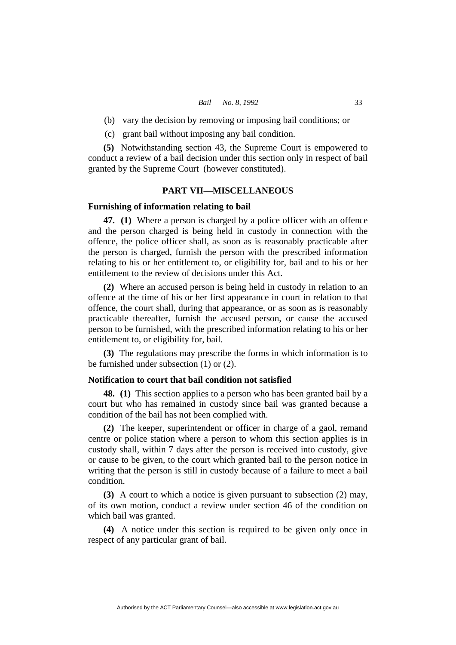- (b) vary the decision by removing or imposing bail conditions; or
- (c) grant bail without imposing any bail condition.

**(5)** Notwithstanding section 43, the Supreme Court is empowered to conduct a review of a bail decision under this section only in respect of bail granted by the Supreme Court (however constituted).

#### **PART VII—MISCELLANEOUS**

# **Furnishing of information relating to bail**

**47. (1)** Where a person is charged by a police officer with an offence and the person charged is being held in custody in connection with the offence, the police officer shall, as soon as is reasonably practicable after the person is charged, furnish the person with the prescribed information relating to his or her entitlement to, or eligibility for, bail and to his or her entitlement to the review of decisions under this Act.

**(2)** Where an accused person is being held in custody in relation to an offence at the time of his or her first appearance in court in relation to that offence, the court shall, during that appearance, or as soon as is reasonably practicable thereafter, furnish the accused person, or cause the accused person to be furnished, with the prescribed information relating to his or her entitlement to, or eligibility for, bail.

**(3)** The regulations may prescribe the forms in which information is to be furnished under subsection (1) or (2).

#### **Notification to court that bail condition not satisfied**

**48. (1)** This section applies to a person who has been granted bail by a court but who has remained in custody since bail was granted because a condition of the bail has not been complied with.

**(2)** The keeper, superintendent or officer in charge of a gaol, remand centre or police station where a person to whom this section applies is in custody shall, within 7 days after the person is received into custody, give or cause to be given, to the court which granted bail to the person notice in writing that the person is still in custody because of a failure to meet a bail condition.

**(3)** A court to which a notice is given pursuant to subsection (2) may, of its own motion, conduct a review under section 46 of the condition on which bail was granted.

**(4)** A notice under this section is required to be given only once in respect of any particular grant of bail.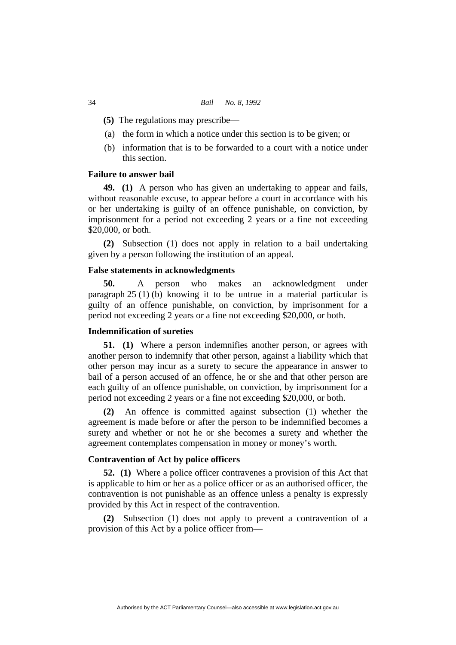- **(5)** The regulations may prescribe—
- (a) the form in which a notice under this section is to be given; or
- (b) information that is to be forwarded to a court with a notice under this section.

# **Failure to answer bail**

**49. (1)** A person who has given an undertaking to appear and fails, without reasonable excuse, to appear before a court in accordance with his or her undertaking is guilty of an offence punishable, on conviction, by imprisonment for a period not exceeding 2 years or a fine not exceeding \$20,000, or both.

**(2)** Subsection (1) does not apply in relation to a bail undertaking given by a person following the institution of an appeal.

#### **False statements in acknowledgments**

**50.** A person who makes an acknowledgment under paragraph 25 (1) (b) knowing it to be untrue in a material particular is guilty of an offence punishable, on conviction, by imprisonment for a period not exceeding 2 years or a fine not exceeding \$20,000, or both.

# **Indemnification of sureties**

**51. (1)** Where a person indemnifies another person, or agrees with another person to indemnify that other person, against a liability which that other person may incur as a surety to secure the appearance in answer to bail of a person accused of an offence, he or she and that other person are each guilty of an offence punishable, on conviction, by imprisonment for a period not exceeding 2 years or a fine not exceeding \$20,000, or both.

**(2)** An offence is committed against subsection (1) whether the agreement is made before or after the person to be indemnified becomes a surety and whether or not he or she becomes a surety and whether the agreement contemplates compensation in money or money's worth.

# **Contravention of Act by police officers**

**52. (1)** Where a police officer contravenes a provision of this Act that is applicable to him or her as a police officer or as an authorised officer, the contravention is not punishable as an offence unless a penalty is expressly provided by this Act in respect of the contravention.

**(2)** Subsection (1) does not apply to prevent a contravention of a provision of this Act by a police officer from—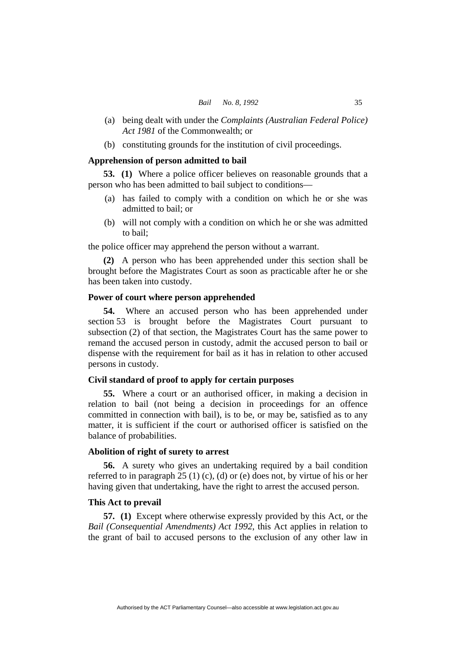- (a) being dealt with under the *Complaints (Australian Federal Police) Act 1981* of the Commonwealth; or
- (b) constituting grounds for the institution of civil proceedings.

### **Apprehension of person admitted to bail**

**53. (1)** Where a police officer believes on reasonable grounds that a person who has been admitted to bail subject to conditions—

- (a) has failed to comply with a condition on which he or she was admitted to bail; or
- (b) will not comply with a condition on which he or she was admitted to bail;

the police officer may apprehend the person without a warrant.

**(2)** A person who has been apprehended under this section shall be brought before the Magistrates Court as soon as practicable after he or she has been taken into custody.

# **Power of court where person apprehended**

**54.** Where an accused person who has been apprehended under section 53 is brought before the Magistrates Court pursuant to subsection (2) of that section, the Magistrates Court has the same power to remand the accused person in custody, admit the accused person to bail or dispense with the requirement for bail as it has in relation to other accused persons in custody.

#### **Civil standard of proof to apply for certain purposes**

**55.** Where a court or an authorised officer, in making a decision in relation to bail (not being a decision in proceedings for an offence committed in connection with bail), is to be, or may be, satisfied as to any matter, it is sufficient if the court or authorised officer is satisfied on the balance of probabilities.

# **Abolition of right of surety to arrest**

**56.** A surety who gives an undertaking required by a bail condition referred to in paragraph  $25(1)(c)$ , (d) or (e) does not, by virtue of his or her having given that undertaking, have the right to arrest the accused person.

#### **This Act to prevail**

**57. (1)** Except where otherwise expressly provided by this Act, or the *Bail (Consequential Amendments) Act 1992*, this Act applies in relation to the grant of bail to accused persons to the exclusion of any other law in